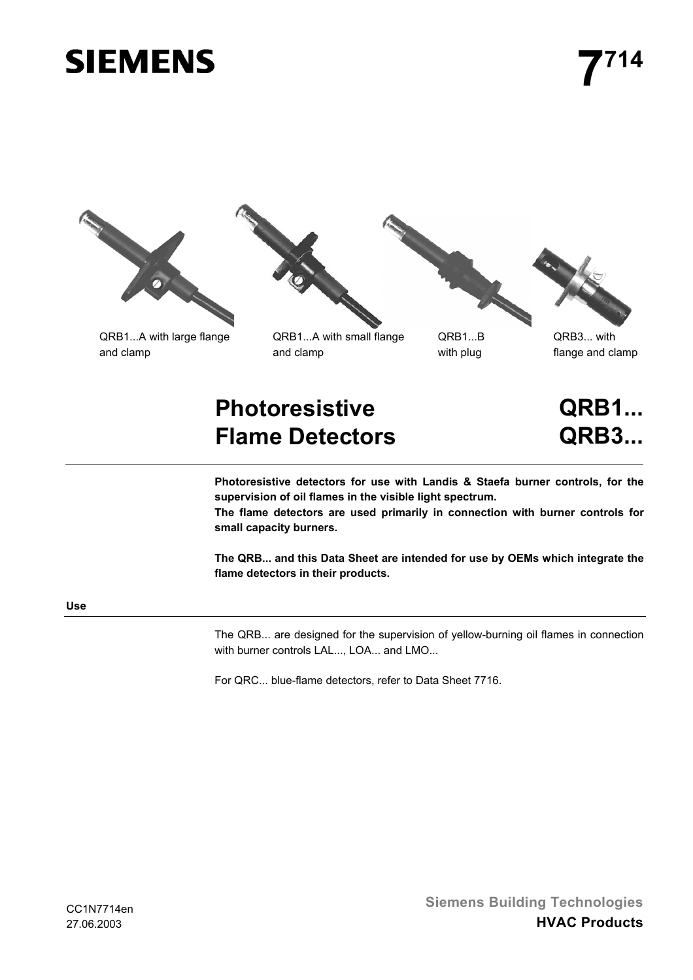# **SIEMENS**









# **Photoresistive Flame Detectors**

**QRB1... QRB3...**

**Photoresistive detectors for use with Landis & Staefa burner controls, for the supervision of oil flames in the visible light spectrum.**

**The flame detectors are used primarily in connection with burner controls for small capacity burners.**

**The QRB... and this Data Sheet are intended for use by OEMs which integrate the flame detectors in their products.**

### **Use**

The QRB... are designed for the supervision of yellow-burning oil flames in connection with burner controls LAL..., LOA... and LMO...

For QRC... blue-flame detectors, refer to Data Sheet 7716.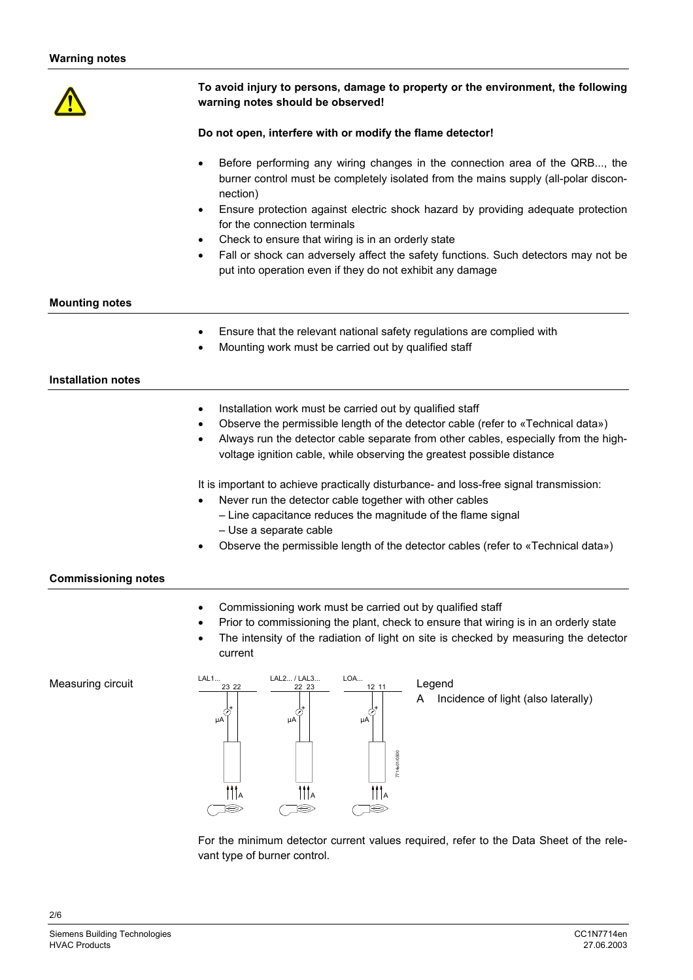

## **To avoid injury to persons, damage to property or the environment, the following warning notes should be observed!**

#### **Do not open, interfere with or modify the flame detector!**

- Before performing any wiring changes in the connection area of the QRB..., the burner control must be completely isolated from the mains supply (all-polar disconnection)
- Ensure protection against electric shock hazard by providing adequate protection for the connection terminals
- Check to ensure that wiring is in an orderly state
- Fall or shock can adversely affect the safety functions. Such detectors may not be put into operation even if they do not exhibit any damage

#### **Mounting notes**

- Ensure that the relevant national safety regulations are complied with
- Mounting work must be carried out by qualified staff

#### **Installation notes**

- Installation work must be carried out by qualified staff
- Observe the permissible length of the detector cable (refer to «Technical data»)
- Always run the detector cable separate from other cables, especially from the highvoltage ignition cable, while observing the greatest possible distance

It is important to achieve practically disturbance- and loss-free signal transmission:

- Never run the detector cable together with other cables
	- Line capacitance reduces the magnitude of the flame signal – Use a separate cable
- Observe the permissible length of the detector cables (refer to «Technical data»)

#### **Commissioning notes**

- Commissioning work must be carried out by qualified staff
- Prior to commissioning the plant, check to ensure that wiring is in an orderly state
- The intensity of the radiation of light on site is checked by measuring the detector current

Measuring circuit



Legend A Incidence of light (also laterally)

For the minimum detector current values required, refer to the Data Sheet of the relevant type of burner control.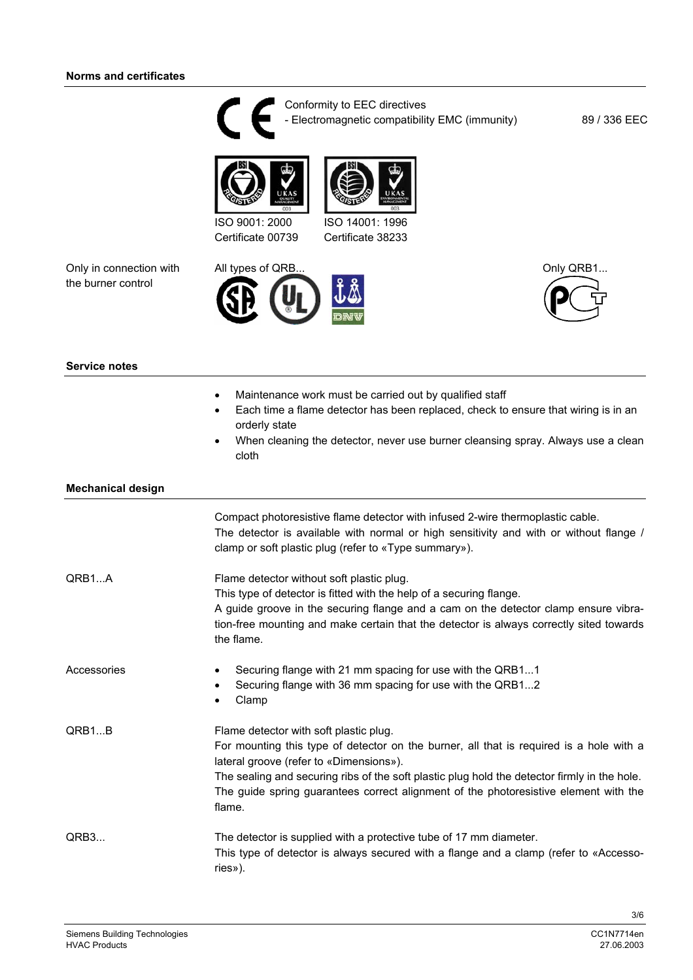

Conformity to EEC directives - Electromagnetic compatibility EMC (immunity) 89 / 336 EEC





Certificate 00739 ISO 14001: 1996 Certificate 38233

Only in connection with the burner control





# **Service notes**

- Maintenance work must be carried out by qualified staff
- Each time a flame detector has been replaced, check to ensure that wiring is in an orderly state
- When cleaning the detector, never use burner cleansing spray. Always use a clean cloth

#### **Mechanical design**

|             | Compact photoresistive flame detector with infused 2-wire thermoplastic cable.<br>The detector is available with normal or high sensitivity and with or without flange /<br>clamp or soft plastic plug (refer to «Type summary»).                                                                                                                                              |
|-------------|--------------------------------------------------------------------------------------------------------------------------------------------------------------------------------------------------------------------------------------------------------------------------------------------------------------------------------------------------------------------------------|
| QRB1A       | Flame detector without soft plastic plug.<br>This type of detector is fitted with the help of a securing flange.<br>A guide groove in the securing flange and a cam on the detector clamp ensure vibra-<br>tion-free mounting and make certain that the detector is always correctly sited towards<br>the flame.                                                               |
| Accessories | Securing flange with 21 mm spacing for use with the QRB11<br>$\bullet$<br>Securing flange with 36 mm spacing for use with the QRB12<br>Clamp                                                                                                                                                                                                                                   |
| QRB1B       | Flame detector with soft plastic plug.<br>For mounting this type of detector on the burner, all that is required is a hole with a<br>lateral groove (refer to «Dimensions»).<br>The sealing and securing ribs of the soft plastic plug hold the detector firmly in the hole.<br>The guide spring guarantees correct alignment of the photoresistive element with the<br>flame. |
| QRB3        | The detector is supplied with a protective tube of 17 mm diameter.<br>This type of detector is always secured with a flange and a clamp (refer to «Accesso-<br>ries»).                                                                                                                                                                                                         |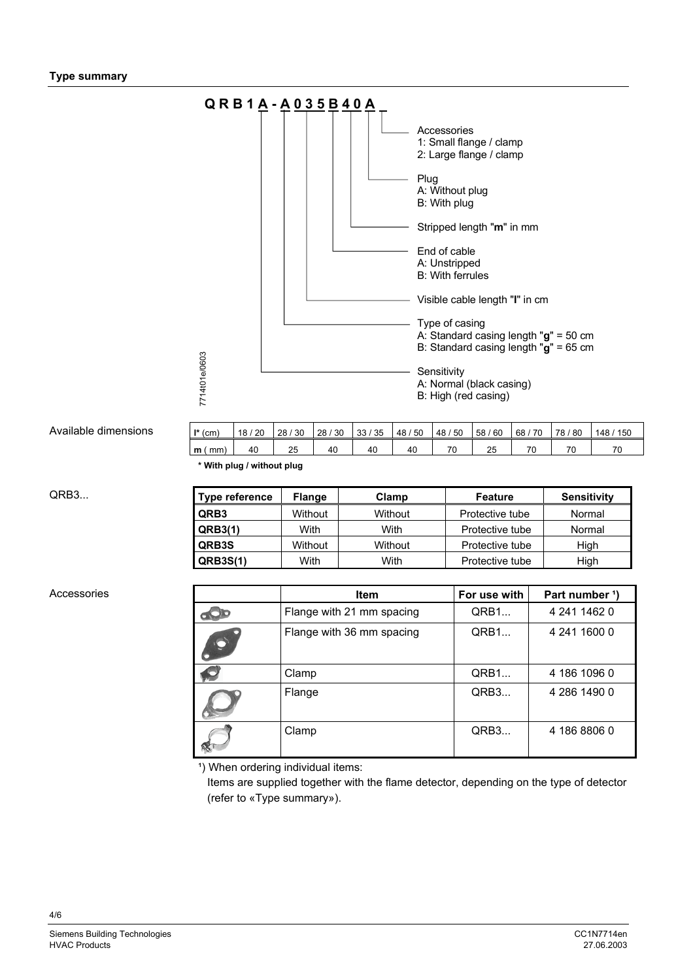

#### Available dimension

| ons | $   \cdot   $<br>(cm | 20<br>18 <sub>1</sub> | 30<br>28 | 30<br>28 | 35<br>33 | 50<br>48 | 50<br>48 | 60<br>-58 | 70<br>68 | 80<br>78  | 150<br>148 <sub>1</sub> |
|-----|----------------------|-----------------------|----------|----------|----------|----------|----------|-----------|----------|-----------|-------------------------|
|     | mm)<br>m             | 40                    | 25       | 40       | 40       | 40       | 70       | 25        | 70       | 70<br>7 G | 70                      |
|     |                      |                       |          |          |          |          |          |           |          |           |                         |

**\* With plug / without plug**

QRB3...

| <b>Type reference</b> | <b>Flange</b> | Clamp   | Feature         | <b>Sensitivity</b> |
|-----------------------|---------------|---------|-----------------|--------------------|
| QRB3                  | Without       | Without | Protective tube | Normal             |
| QRB3(1)               | With          | With    | Protective tube | Normal             |
| QRB3S                 | Without       | Without | Protective tube | High               |
| <b>QRB3S(1)</b>       | With          | With    | Protective tube | High               |

#### Accessories

| <b>Item</b>               | For use with | Part number <sup>1</sup> ) |
|---------------------------|--------------|----------------------------|
| Flange with 21 mm spacing | QRB1         | 4 241 1462 0               |
| Flange with 36 mm spacing | QRB1         | 4 241 1600 0               |
| Clamp                     | QRB1         | 4 186 1096 0               |
| Flange                    | QRB3         | 4 286 1490 0               |
| Clamp                     | QRB3         | 4 186 8806 0               |

<sup>1</sup>) When ordering individual items:

 Items are supplied together with the flame detector, depending on the type of detector (refer to «Type summary»).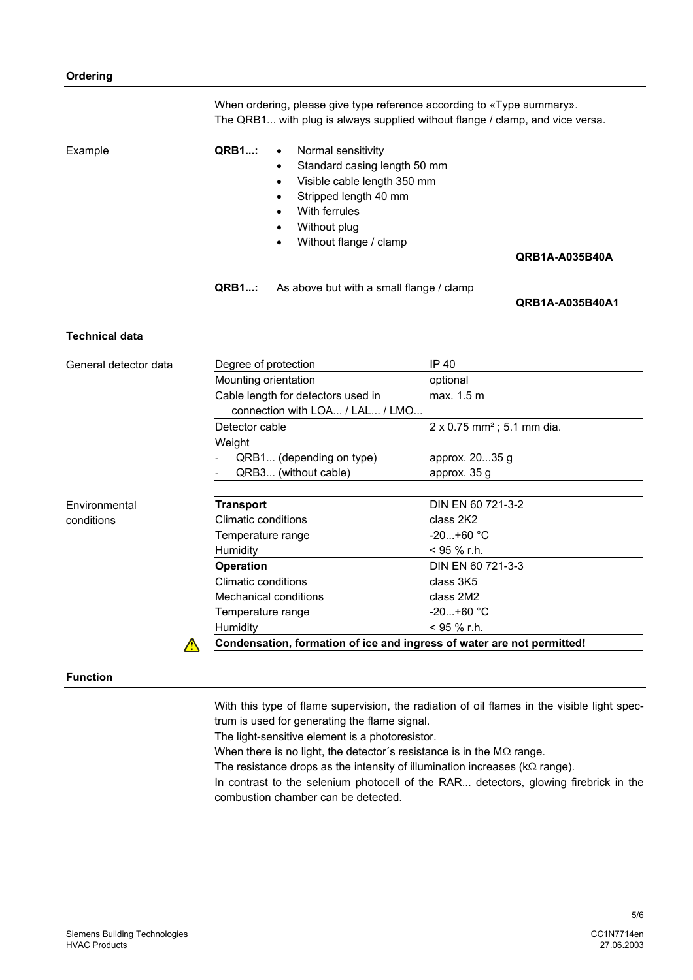|                       | When ordering, please give type reference according to «Type summary».<br>The QRB1 with plug is always supplied without flange / clamp, and vice versa.                                                                                        |                                    |                                                                        |  |  |
|-----------------------|------------------------------------------------------------------------------------------------------------------------------------------------------------------------------------------------------------------------------------------------|------------------------------------|------------------------------------------------------------------------|--|--|
| Example               | <b>QRB1:</b><br>Normal sensitivity<br>$\bullet$<br>Standard casing length 50 mm<br>Visible cable length 350 mm<br>$\bullet$<br>Stripped length 40 mm<br>$\bullet$<br>With ferrules<br>Without plug<br>Without flange / clamp<br>QRB1A-A035B40A |                                    |                                                                        |  |  |
|                       | <b>QRB1:</b><br>As above but with a small flange / clamp<br><b>QRB1A-A035B40A1</b>                                                                                                                                                             |                                    |                                                                        |  |  |
| <b>Technical data</b> |                                                                                                                                                                                                                                                |                                    |                                                                        |  |  |
| General detector data |                                                                                                                                                                                                                                                | Degree of protection               | IP 40                                                                  |  |  |
|                       |                                                                                                                                                                                                                                                | Mounting orientation               | optional                                                               |  |  |
|                       |                                                                                                                                                                                                                                                | Cable length for detectors used in | max. 1.5 m                                                             |  |  |
|                       |                                                                                                                                                                                                                                                | connection with LOA / LAL / LMO    |                                                                        |  |  |
|                       | Detector cable                                                                                                                                                                                                                                 |                                    | $2 \times 0.75$ mm <sup>2</sup> ; 5.1 mm dia.                          |  |  |
|                       | Weight                                                                                                                                                                                                                                         |                                    |                                                                        |  |  |
|                       |                                                                                                                                                                                                                                                | QRB1 (depending on type)           | approx. 2035 g                                                         |  |  |
|                       |                                                                                                                                                                                                                                                | QRB3 (without cable)               | approx. 35 g                                                           |  |  |
| Environmental         | <b>Transport</b>                                                                                                                                                                                                                               |                                    | DIN EN 60 721-3-2                                                      |  |  |
| conditions            | <b>Climatic conditions</b>                                                                                                                                                                                                                     |                                    | class 2K2                                                              |  |  |
|                       | Temperature range                                                                                                                                                                                                                              |                                    | $-20+60 °C$                                                            |  |  |
|                       | Humidity                                                                                                                                                                                                                                       |                                    | $<$ 95 % r.h.                                                          |  |  |
|                       | <b>Operation</b>                                                                                                                                                                                                                               |                                    | DIN EN 60 721-3-3                                                      |  |  |
|                       | <b>Climatic conditions</b>                                                                                                                                                                                                                     |                                    | class 3K5                                                              |  |  |
|                       |                                                                                                                                                                                                                                                | <b>Mechanical conditions</b>       | class 2M2                                                              |  |  |
|                       | Temperature range                                                                                                                                                                                                                              |                                    | $-20+60$ °C                                                            |  |  |
|                       | < 95 % r.h.<br>Humidity                                                                                                                                                                                                                        |                                    |                                                                        |  |  |
|                       |                                                                                                                                                                                                                                                |                                    | Condensation, formation of ice and ingress of water are not permitted! |  |  |

#### **Function**

With this type of flame supervision, the radiation of oil flames in the visible light spectrum is used for generating the flame signal.

The light-sensitive element is a photoresistor.

When there is no light, the detector´s resistance is in the MΩ range.

The resistance drops as the intensity of illumination increases (kΩ range).

In contrast to the selenium photocell of the RAR... detectors, glowing firebrick in the combustion chamber can be detected.